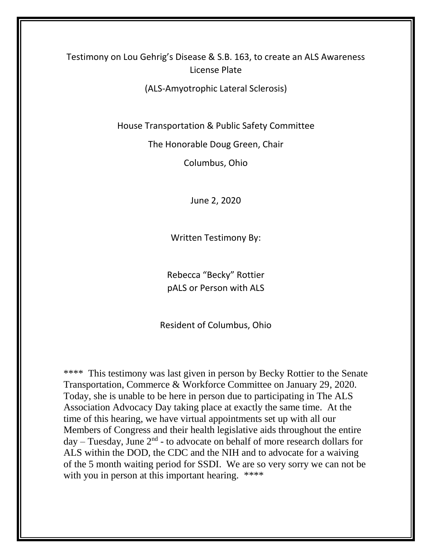Testimony on Lou Gehrig's Disease & S.B. 163, to create an ALS Awareness License Plate

(ALS-Amyotrophic Lateral Sclerosis)

House Transportation & Public Safety Committee

The Honorable Doug Green, Chair

Columbus, Ohio

June 2, 2020

Written Testimony By:

Rebecca "Becky" Rottier pALS or Person with ALS

Resident of Columbus, Ohio

\*\*\*\* This testimony was last given in person by Becky Rottier to the Senate Transportation, Commerce & Workforce Committee on January 29, 2020. Today, she is unable to be here in person due to participating in The ALS Association Advocacy Day taking place at exactly the same time. At the time of this hearing, we have virtual appointments set up with all our Members of Congress and their health legislative aids throughout the entire  $day - Tuesday$ , June  $2<sup>nd</sup>$  - to advocate on behalf of more research dollars for ALS within the DOD, the CDC and the NIH and to advocate for a waiving of the 5 month waiting period for SSDI. We are so very sorry we can not be with you in person at this important hearing. \*\*\*\*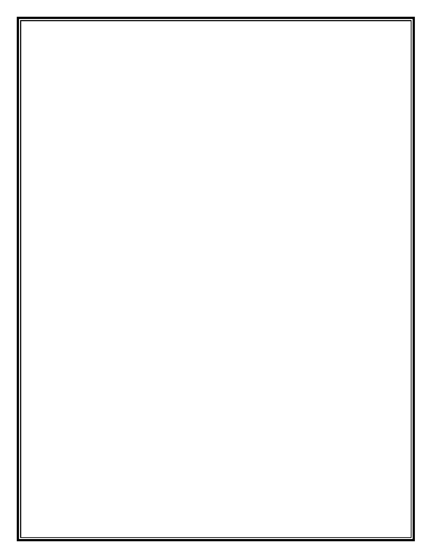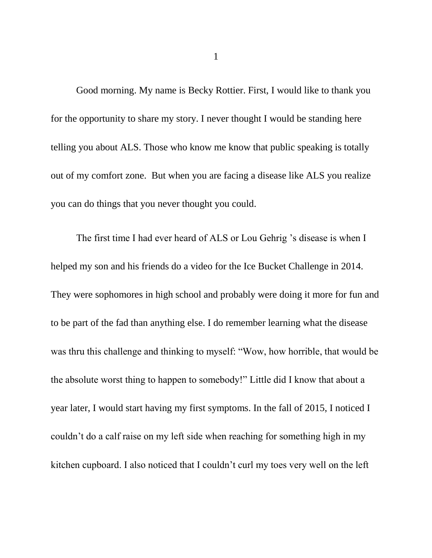Good morning. My name is Becky Rottier. First, I would like to thank you for the opportunity to share my story. I never thought I would be standing here telling you about ALS. Those who know me know that public speaking is totally out of my comfort zone. But when you are facing a disease like ALS you realize you can do things that you never thought you could.

The first time I had ever heard of ALS or Lou Gehrig 's disease is when I helped my son and his friends do a video for the Ice Bucket Challenge in 2014. They were sophomores in high school and probably were doing it more for fun and to be part of the fad than anything else. I do remember learning what the disease was thru this challenge and thinking to myself: "Wow, how horrible, that would be the absolute worst thing to happen to somebody!" Little did I know that about a year later, I would start having my first symptoms. In the fall of 2015, I noticed I couldn't do a calf raise on my left side when reaching for something high in my kitchen cupboard. I also noticed that I couldn't curl my toes very well on the left

1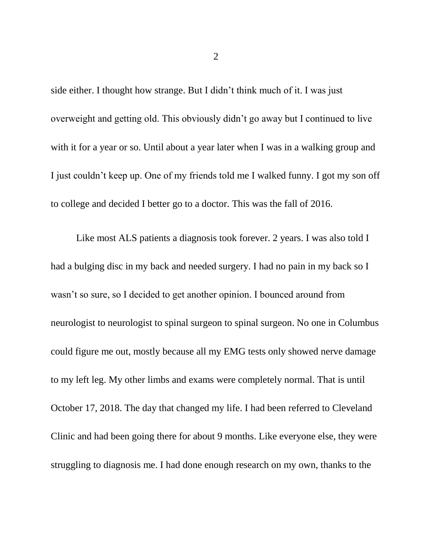side either. I thought how strange. But I didn't think much of it. I was just overweight and getting old. This obviously didn't go away but I continued to live with it for a year or so. Until about a year later when I was in a walking group and I just couldn't keep up. One of my friends told me I walked funny. I got my son off to college and decided I better go to a doctor. This was the fall of 2016.

Like most ALS patients a diagnosis took forever. 2 years. I was also told I had a bulging disc in my back and needed surgery. I had no pain in my back so I wasn't so sure, so I decided to get another opinion. I bounced around from neurologist to neurologist to spinal surgeon to spinal surgeon. No one in Columbus could figure me out, mostly because all my EMG tests only showed nerve damage to my left leg. My other limbs and exams were completely normal. That is until October 17, 2018. The day that changed my life. I had been referred to Cleveland Clinic and had been going there for about 9 months. Like everyone else, they were struggling to diagnosis me. I had done enough research on my own, thanks to the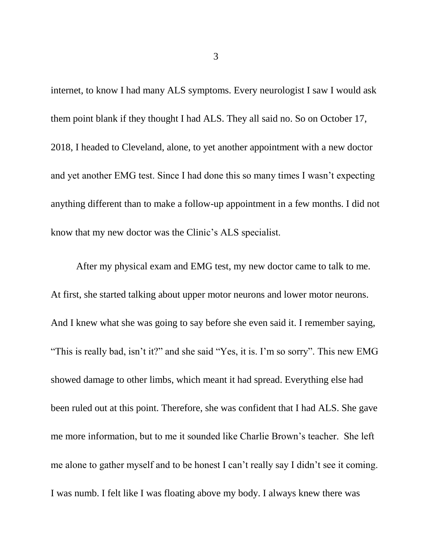internet, to know I had many ALS symptoms. Every neurologist I saw I would ask them point blank if they thought I had ALS. They all said no. So on October 17, 2018, I headed to Cleveland, alone, to yet another appointment with a new doctor and yet another EMG test. Since I had done this so many times I wasn't expecting anything different than to make a follow-up appointment in a few months. I did not know that my new doctor was the Clinic's ALS specialist.

After my physical exam and EMG test, my new doctor came to talk to me. At first, she started talking about upper motor neurons and lower motor neurons. And I knew what she was going to say before she even said it. I remember saying, "This is really bad, isn't it?" and she said "Yes, it is. I'm so sorry". This new EMG showed damage to other limbs, which meant it had spread. Everything else had been ruled out at this point. Therefore, she was confident that I had ALS. She gave me more information, but to me it sounded like Charlie Brown's teacher. She left me alone to gather myself and to be honest I can't really say I didn't see it coming. I was numb. I felt like I was floating above my body. I always knew there was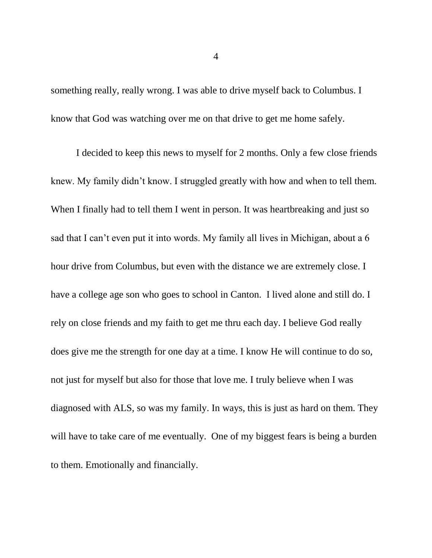something really, really wrong. I was able to drive myself back to Columbus. I know that God was watching over me on that drive to get me home safely.

I decided to keep this news to myself for 2 months. Only a few close friends knew. My family didn't know. I struggled greatly with how and when to tell them. When I finally had to tell them I went in person. It was heartbreaking and just so sad that I can't even put it into words. My family all lives in Michigan, about a 6 hour drive from Columbus, but even with the distance we are extremely close. I have a college age son who goes to school in Canton. I lived alone and still do. I rely on close friends and my faith to get me thru each day. I believe God really does give me the strength for one day at a time. I know He will continue to do so, not just for myself but also for those that love me. I truly believe when I was diagnosed with ALS, so was my family. In ways, this is just as hard on them. They will have to take care of me eventually. One of my biggest fears is being a burden to them. Emotionally and financially.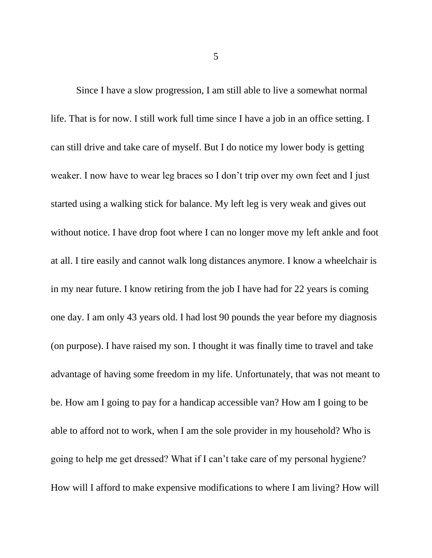Since I have a slow progression, I am still able to live a somewhat normal life. That is for now. I still work full time since I have a job in an office setting. I can still drive and take care of myself. But I do notice my lower body is getting weaker. I now have to wear leg braces so I don't trip over my own feet and I just started using a walking stick for balance. My left leg is very weak and gives out without notice. I have drop foot where I can no longer move my left ankle and foot at all. I tire easily and cannot walk long distances anymore. I know a wheelchair is in my near future. I know retiring from the job I have had for 22 years is coming one day. I am only 43 years old. I had lost 90 pounds the year before my diagnosis (on purpose). I have raised my son. I thought it was finally time to travel and take advantage of having some freedom in my life. Unfortunately, that was not meant to be. How am I going to pay for a handicap accessible van? How am I going to be able to afford not to work, when I am the sole provider in my household? Who is going to help me get dressed? What if I can't take care of my personal hygiene? How will I afford to make expensive modifications to where I am living? How will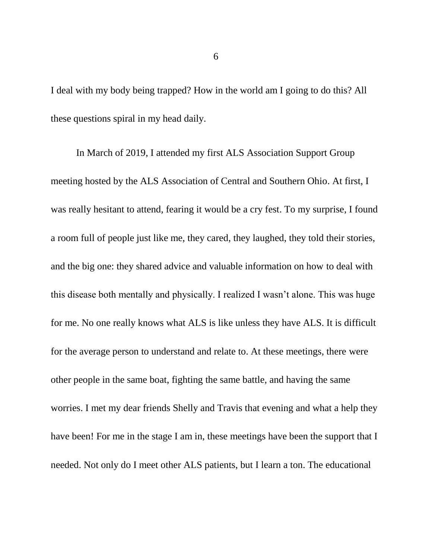I deal with my body being trapped? How in the world am I going to do this? All these questions spiral in my head daily.

In March of 2019, I attended my first ALS Association Support Group meeting hosted by the ALS Association of Central and Southern Ohio. At first, I was really hesitant to attend, fearing it would be a cry fest. To my surprise, I found a room full of people just like me, they cared, they laughed, they told their stories, and the big one: they shared advice and valuable information on how to deal with this disease both mentally and physically. I realized I wasn't alone. This was huge for me. No one really knows what ALS is like unless they have ALS. It is difficult for the average person to understand and relate to. At these meetings, there were other people in the same boat, fighting the same battle, and having the same worries. I met my dear friends Shelly and Travis that evening and what a help they have been! For me in the stage I am in, these meetings have been the support that I needed. Not only do I meet other ALS patients, but I learn a ton. The educational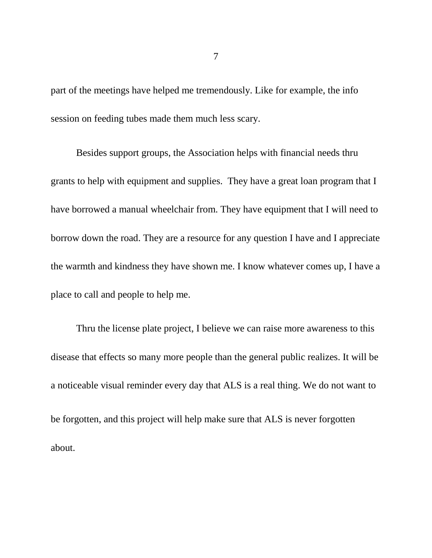part of the meetings have helped me tremendously. Like for example, the info session on feeding tubes made them much less scary.

Besides support groups, the Association helps with financial needs thru grants to help with equipment and supplies. They have a great loan program that I have borrowed a manual wheelchair from. They have equipment that I will need to borrow down the road. They are a resource for any question I have and I appreciate the warmth and kindness they have shown me. I know whatever comes up, I have a place to call and people to help me.

Thru the license plate project, I believe we can raise more awareness to this disease that effects so many more people than the general public realizes. It will be a noticeable visual reminder every day that ALS is a real thing. We do not want to be forgotten, and this project will help make sure that ALS is never forgotten about.